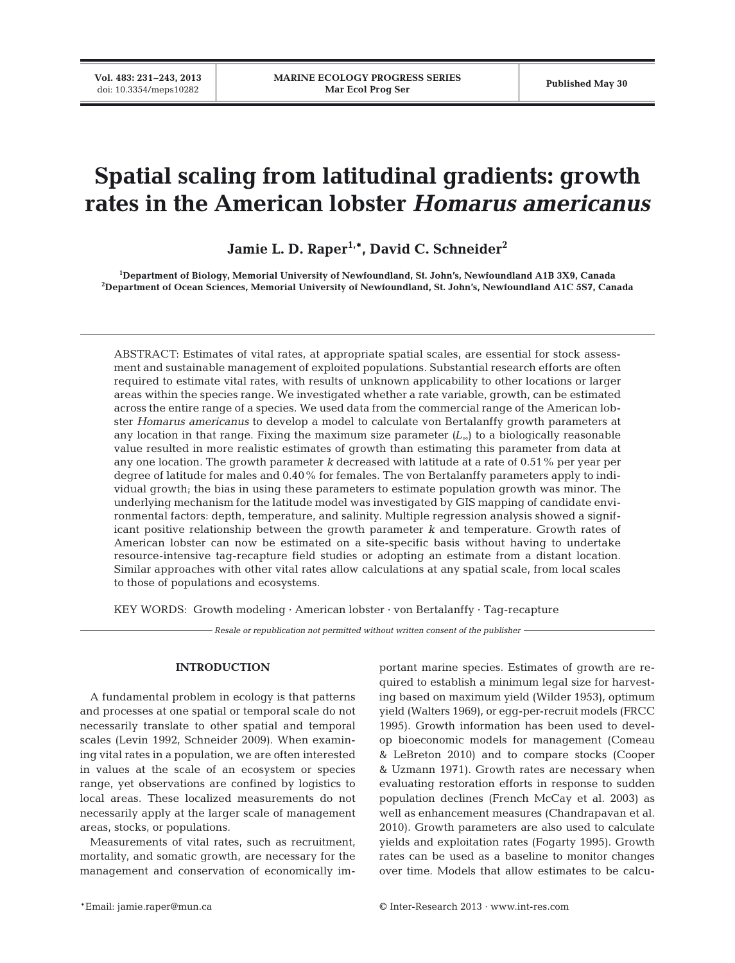**Vol. 483: 231–243, 2013**

# **Spatial scaling from latitudinal gradients: growth rates in the American lobster** *Homarus americanus*

Jamie L. D. Raper<sup>1,\*</sup>, David C. Schneider<sup>2</sup>

**1 Department of Biology, Memorial University of Newfoundland, St. John's, Newfoundland A1B 3X9, Canada 2 Department of Ocean Sciences, Memorial University of Newfoundland, St. John's, Newfoundland A1C 5S7, Canada**

ABSTRACT: Estimates of vital rates, at appropriate spatial scales, are essential for stock assessment and sustainable management of exploited populations. Substantial research efforts are often required to estimate vital rates, with results of unknown applicability to other locations or larger areas within the species range. We investigated whether a rate variable, growth, can be estimated across the entire range of a species. We used data from the commercial range of the American lobster *Homarus americanus* to develop a model to calculate von Bertalanffy growth parameters at any location in that range. Fixing the maximum size parameter *(L*∞) to a biologically reasonable value resulted in more realistic estimates of growth than estimating this parameter from data at any one location. The growth parameter *k* decreased with latitude at a rate of 0.51% per year per degree of latitude for males and 0.40% for females. The von Bertalanffy parameters apply to individual growth; the bias in using these parameters to estimate population growth was minor. The underlying mechanism for the latitude model was investigated by GIS mapping of candidate environmental factors: depth, temperature, and salinity. Multiple regression analysis showed a significant positive relationship between the growth parameter *k* and temperature. Growth rates of American lobster can now be estimated on a site-specific basis without having to undertake resource-intensive tag-recapture field studies or adopting an estimate from a distant location. Similar approaches with other vital rates allow calculations at any spatial scale, from local scales to those of populations and ecosystems.

KEY WORDS: Growth modeling  $\cdot$  American lobster  $\cdot$  von Bertalanffy  $\cdot$  Tag-recapture

*Resale or republication not permitted without written consent of the publisher*

## **INTRODUCTION**

A fundamental problem in ecology is that patterns and processes at one spatial or temporal scale do not necessarily translate to other spatial and temporal scales (Levin 1992, Schneider 2009). When examining vital rates in a population, we are often interested in values at the scale of an ecosystem or species range, yet observations are confined by logistics to local areas. These localized measurements do not necessarily apply at the larger scale of management areas, stocks, or populations.

Measurements of vital rates, such as recruitment, mortality, and somatic growth, are necessary for the management and conservation of economically important marine species. Estimates of growth are required to establish a minimum legal size for harvesting based on maximum yield (Wilder 1953), optimum yield (Walters 1969), or egg-per-recruit models (FRCC 1995). Growth information has been used to develop bioeconomic models for management (Comeau & LeBreton 2010) and to compare stocks (Cooper & Uzmann 1971). Growth rates are necessary when evaluating restoration efforts in response to sudden population declines (French McCay et al. 2003) as well as enhancement measures (Chandrapavan et al. 2010). Growth parameters are also used to calculate yields and exploitation rates (Fogarty 1995). Growth rates can be used as a baseline to monitor changes over time. Models that allow estimates to be calcu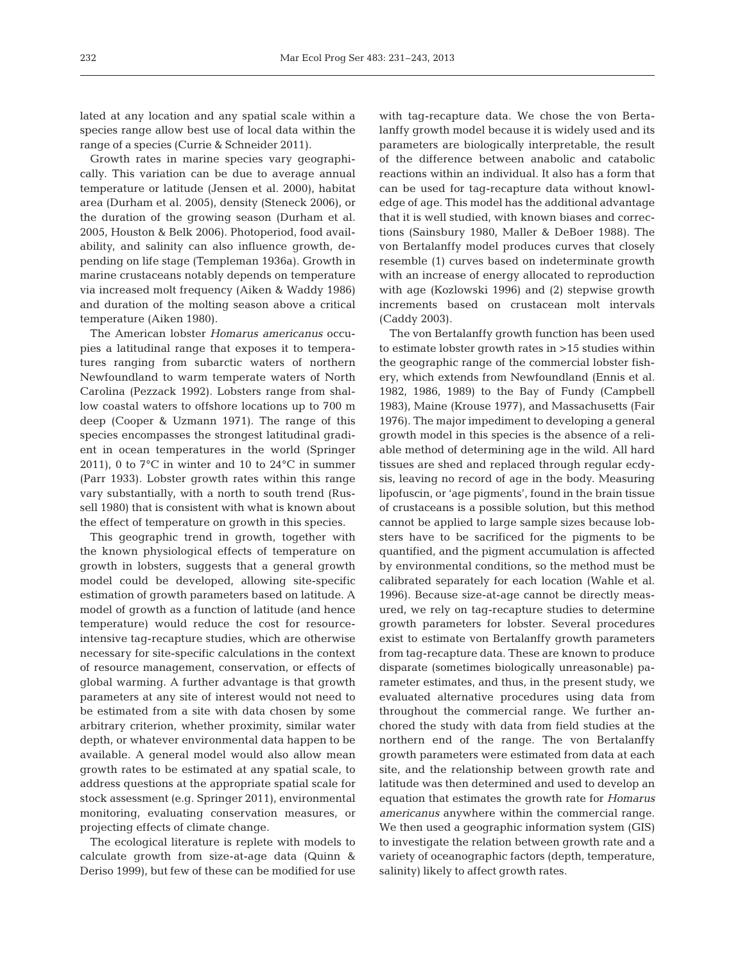lated at any location and any spatial scale within a species range allow best use of local data within the range of a species (Currie & Schneider 2011).

Growth rates in marine species vary geographically. This variation can be due to average annual temperature or latitude (Jensen et al. 2000), habitat area (Durham et al. 2005), density (Steneck 2006), or the duration of the growing season (Durham et al. 2005, Houston & Belk 2006). Photoperiod, food availability, and salinity can also influence growth, depending on life stage (Templeman 1936a). Growth in marine crustaceans notably depends on temperature via increased molt frequency (Aiken & Waddy 1986) and duration of the molting season above a critical temperature (Aiken 1980).

The American lobster *Homarus americanus* occupies a latitudinal range that exposes it to temperatures ranging from subarctic waters of northern Newfoundland to warm temperate waters of North Carolina (Pezzack 1992). Lobsters range from shallow coastal waters to offshore locations up to 700 m deep (Cooper & Uzmann 1971). The range of this species encompasses the strongest latitudinal gradient in ocean temperatures in the world (Springer 2011), 0 to 7°C in winter and 10 to 24°C in summer (Parr 1933). Lobster growth rates within this range vary substantially, with a north to south trend (Russell 1980) that is consistent with what is known about the effect of temperature on growth in this species.

This geographic trend in growth, together with the known physiological effects of temperature on growth in lobsters, suggests that a general growth model could be developed, allowing site-specific estimation of growth parameters based on latitude. A model of growth as a function of latitude (and hence temperature) would reduce the cost for resourceintensive tag-recapture studies, which are otherwise necessary for site-specific calculations in the context of resource management, conservation, or effects of global warming. A further advantage is that growth parameters at any site of interest would not need to be estimated from a site with data chosen by some arbitrary criterion, whether proximity, similar water depth, or whatever environmental data happen to be available. A general model would also allow mean growth rates to be estimated at any spatial scale, to address questions at the appropriate spatial scale for stock assessment (e.g. Springer 2011), environmental monitoring, evaluating conservation measures, or projecting effects of climate change.

The ecological literature is replete with models to calculate growth from size-at-age data (Quinn & Deriso 1999), but few of these can be modified for use

with tag-recapture data. We chose the von Bertalanffy growth model because it is widely used and its parameters are biologically interpretable, the result of the difference between anabolic and catabolic reactions within an individual. It also has a form that can be used for tag-recapture data without knowledge of age. This model has the additional advantage that it is well studied, with known biases and corrections (Sainsbury 1980, Maller & DeBoer 1988). The von Bertalanffy model produces curves that closely resemble (1) curves based on indeterminate growth with an increase of energy allocated to reproduction with age (Kozlowski 1996) and (2) stepwise growth increments based on crustacean molt intervals (Caddy 2003).

The von Bertalanffy growth function has been used to estimate lobster growth rates in >15 studies within the geographic range of the commercial lobster fishery, which extends from Newfoundland (Ennis et al. 1982, 1986, 1989) to the Bay of Fundy (Campbell 1983), Maine (Krouse 1977), and Massachusetts (Fair 1976). The major impediment to developing a general growth model in this species is the absence of a reliable method of determining age in the wild. All hard tissues are shed and replaced through regular ecdysis, leaving no record of age in the body. Measuring lipofuscin, or 'age pigments', found in the brain tissue of crustaceans is a possible solution, but this method cannot be applied to large sample sizes because lobsters have to be sacrificed for the pigments to be quantified, and the pigment accumulation is affected by environmental conditions, so the method must be calibrated separately for each location (Wahle et al. 1996). Because size-at-age cannot be directly measured, we rely on tag-recapture studies to determine growth parameters for lobster. Several procedures exist to estimate von Bertalanffy growth parameters from tag-recapture data. These are known to produce disparate (sometimes biologically unreasonable) parameter estimates, and thus, in the present study, we evaluated alternative procedures using data from throughout the commercial range. We further anchored the study with data from field studies at the northern end of the range. The von Bertalanffy growth parameters were estimated from data at each site, and the relationship between growth rate and latitude was then determined and used to develop an equation that estimates the growth rate for *Homarus americanus* anywhere within the commercial range. We then used a geographic information system (GIS) to investigate the relation between growth rate and a variety of oceanographic factors (depth, temperature, salinity) likely to affect growth rates.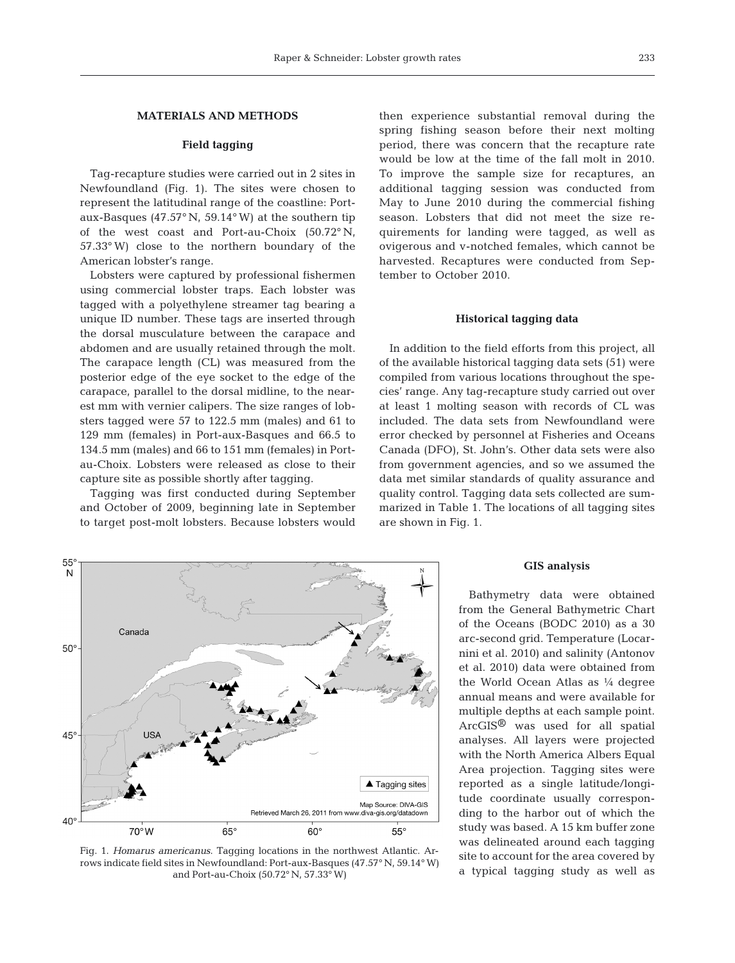# **MATERIALS AND METHODS**

# **Field tagging**

Tag-recapture studies were carried out in 2 sites in Newfoundland (Fig. 1). The sites were chosen to represent the latitudinal range of the coastline: Portaux-Basques (47.57° N, 59.14°W) at the southern tip of the west coast and Port-au-Choix (50.72° N, 57.33°W) close to the northern boundary of the American lobster's range.

Lobsters were captured by professional fishermen using commercial lobster traps. Each lobster was tagged with a polyethylene streamer tag bearing a unique ID number. These tags are inserted through the dorsal musculature between the carapace and abdomen and are usually retained through the molt. The carapace length (CL) was measured from the posterior edge of the eye socket to the edge of the carapace, parallel to the dorsal midline, to the nearest mm with vernier calipers. The size ranges of lobsters tagged were 57 to 122.5 mm (males) and 61 to 129 mm (females) in Port-aux-Basques and 66.5 to 134.5 mm (males) and 66 to 151 mm (females) in Portau-Choix. Lobsters were released as close to their capture site as possible shortly after tagging.

Tagging was first conducted during September and October of 2009, beginning late in September to target post-molt lobsters. Because lobsters would then experience substantial removal during the spring fishing season before their next molting period, there was concern that the recapture rate would be low at the time of the fall molt in 2010. To improve the sample size for recaptures, an additional tagging session was conducted from May to June 2010 during the commercial fishing season. Lobsters that did not meet the size requirements for landing were tagged, as well as ovigerous and v-notched females, which cannot be harvested. Recaptures were conducted from September to October 2010.

# **Historical tagging data**

In addition to the field efforts from this project, all of the available historical tagging data sets (51) were compiled from various locations throughout the species' range. Any tag-recapture study carried out over at least 1 molting season with records of CL was included. The data sets from Newfoundland were error checked by personnel at Fisheries and Oceans Canada (DFO), St. John's. Other data sets were also from government agencies, and so we assumed the data met similar standards of quality assurance and quality control. Tagging data sets collected are summarized in Table 1. The locations of all tagging sites are shown in Fig. 1.



Fig. 1. *Homarus americanus*. Tagging locations in the northwest Atlantic. Arrows indicate field sites in Newfoundland: Port-aux-Basques (47.57° N, 59.14°W) and Port-au-Choix (50.72° N, 57.33°W)

#### **GIS analysis**

Bathymetry data were obtained from the General Bathymetric Chart of the Oceans (BODC 2010) as a 30 arc-second grid. Temperature (Locar nini et al. 2010) and salinity (Antonov et al. 2010) data were obtained from the World Ocean Atlas as 1/4 degree annual means and were available for multiple depths at each sample point. ArcGIS® was used for all spatial analyses. All layers were projected with the North America Albers Equal Area projection. Tagging sites were reported as a single latitude/longitude coordinate usually corresponding to the harbor out of which the study was based. A 15 km buffer zone was delineated around each tagging site to account for the area covered by a typical tagging study as well as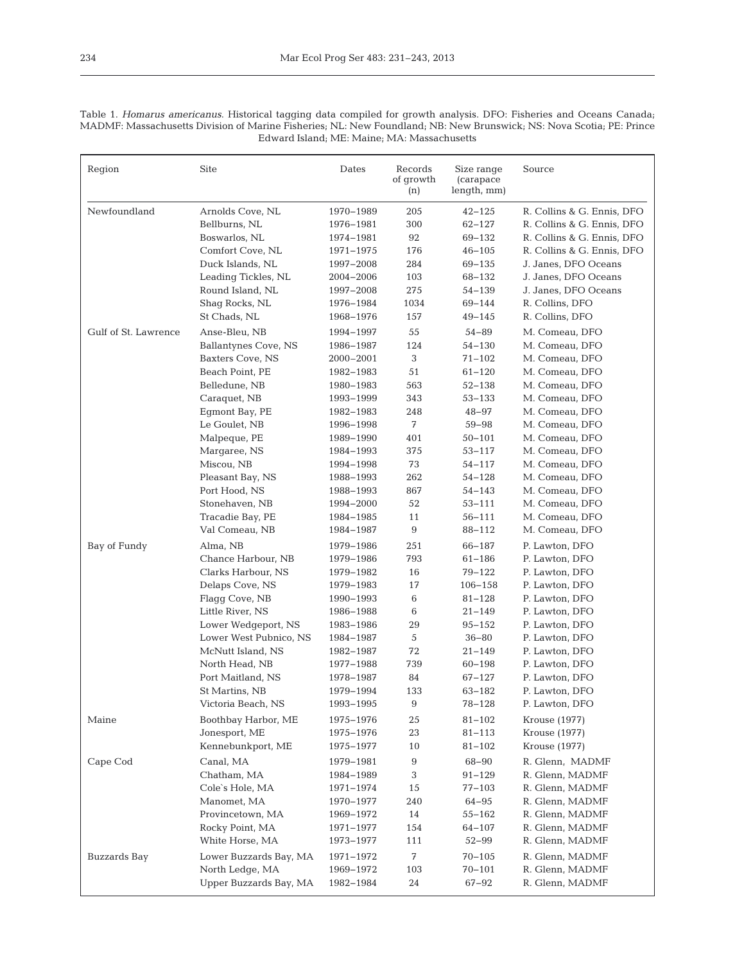Table 1. *Homarus americanus*. Historical tagging data compiled for growth analysis. DFO: Fisheries and Oceans Canada; MADMF: Massachusetts Division of Marine Fisheries; NL: New Foundland; NB: New Brunswick; NS: Nova Scotia; PE: Prince Edward Island; ME: Maine; MA: Massachusetts

| Region               | Site                   | Dates     | Records<br>of growth<br>(n) | Size range<br>(carapace)<br>length, mm) | Source                     |
|----------------------|------------------------|-----------|-----------------------------|-----------------------------------------|----------------------------|
| Newfoundland         | Arnolds Cove, NL       | 1970-1989 | 205                         | $42 - 125$                              | R. Collins & G. Ennis, DFO |
|                      | Bellburns, NL          | 1976-1981 | 300                         | $62 - 127$                              | R. Collins & G. Ennis, DFO |
|                      | Boswarlos, NL          | 1974-1981 | 92                          | 69-132                                  | R. Collins & G. Ennis, DFO |
|                      | Comfort Cove, NL       | 1971-1975 | 176                         | $46 - 105$                              | R. Collins & G. Ennis, DFO |
|                      | Duck Islands, NL       | 1997-2008 | 284                         | 69-135                                  | J. Janes, DFO Oceans       |
|                      | Leading Tickles, NL    | 2004-2006 | 103                         | 68-132                                  | J. Janes, DFO Oceans       |
|                      | Round Island, NL       | 1997-2008 | 275                         | $54 - 139$                              | J. Janes, DFO Oceans       |
|                      | Shaq Rocks, NL         | 1976-1984 | 1034                        | 69-144                                  | R. Collins, DFO            |
|                      | St Chads, NL           | 1968-1976 | 157                         | $49 - 145$                              | R. Collins, DFO            |
| Gulf of St. Lawrence | Anse-Bleu, NB          | 1994-1997 | 55                          | $54 - 89$                               | M. Comeau, DFO             |
|                      | Ballantynes Cove, NS   | 1986-1987 | 124                         | $54 - 130$                              | M. Comeau, DFO             |
|                      | Baxters Cove, NS       | 2000-2001 | 3                           | $71 - 102$                              | M. Comeau, DFO             |
|                      | Beach Point, PE        | 1982-1983 | 51                          | $61 - 120$                              | M. Comeau, DFO             |
|                      | Belledune, NB          | 1980-1983 | 563                         | $52 - 138$                              | M. Comeau, DFO             |
|                      | Caraquet, NB           | 1993-1999 | 343                         | $53 - 133$                              | M. Comeau, DFO             |
|                      | Eqmont Bay, PE         | 1982-1983 | 248                         | 48-97                                   | M. Comeau, DFO             |
|                      | Le Goulet, NB          | 1996-1998 | 7                           | $59 - 98$                               | M. Comeau, DFO             |
|                      | Malpeque, PE           | 1989-1990 | 401                         | $50 - 101$                              | M. Comeau, DFO             |
|                      | Margaree, NS           | 1984-1993 | 375                         | $53 - 117$                              | M. Comeau, DFO             |
|                      | Miscou, NB             | 1994-1998 | 73                          | $54 - 117$                              | M. Comeau, DFO             |
|                      | Pleasant Bay, NS       | 1988-1993 | 262                         | $54 - 128$                              | M. Comeau, DFO             |
|                      | Port Hood, NS          | 1988-1993 | 867                         | $54 - 143$                              | M. Comeau, DFO             |
|                      | Stonehaven, NB         | 1994-2000 | 52                          | $53 - 111$                              | M. Comeau, DFO             |
|                      | Tracadie Bay, PE       | 1984-1985 | 11                          | $56 - 111$                              | M. Comeau, DFO             |
|                      | Val Comeau, NB         | 1984-1987 | 9                           | 88-112                                  | M. Comeau, DFO             |
| Bay of Fundy         | Alma, NB               | 1979-1986 | 251                         | 66-187                                  | P. Lawton, DFO             |
|                      | Chance Harbour, NB     | 1979-1986 | 793                         | $61 - 186$                              | P. Lawton, DFO             |
|                      | Clarks Harbour, NS     | 1979-1982 | 16                          | 79-122                                  | P. Lawton, DFO             |
|                      | Delaps Cove, NS        | 1979-1983 | 17                          | $106 - 158$                             | P. Lawton, DFO             |
|                      | Flagg Cove, NB         | 1990-1993 | 6                           | $81 - 128$                              | P. Lawton, DFO             |
|                      | Little River, NS       | 1986-1988 | 6                           | $21 - 149$                              | P. Lawton, DFO             |
|                      | Lower Wedgeport, NS    | 1983-1986 | 29                          | $95 - 152$                              | P. Lawton, DFO             |
|                      | Lower West Pubnico, NS | 1984-1987 | 5                           | $36 - 80$                               | P. Lawton, DFO             |
|                      | McNutt Island, NS      | 1982-1987 | 72                          | $21 - 149$                              | P. Lawton, DFO             |
|                      | North Head, NB         | 1977-1988 | 739                         | $60 - 198$                              | P. Lawton, DFO             |
|                      | Port Maitland, NS      | 1978-1987 | 84                          | 67-127                                  | P. Lawton, DFO             |
|                      | St Martins, NB         | 1979-1994 | 133                         | 63-182                                  | P. Lawton, DFO             |
|                      | Victoria Beach, NS     | 1993-1995 | 9                           | 78–128                                  | P. Lawton, DFO             |
| Maine                | Boothbay Harbor, ME    | 1975-1976 | 25                          | $81 - 102$                              | Krouse (1977)              |
|                      | Jonesport, ME          | 1975-1976 | 23                          | 81-113                                  | Krouse (1977)              |
|                      | Kennebunkport, ME      | 1975–1977 | 10                          | $81 - 102$                              | Krouse (1977)              |
|                      |                        |           |                             |                                         |                            |
| Cape Cod             | Canal, MA              | 1979-1981 | 9                           | 68-90                                   | R. Glenn, MADMF            |
|                      | Chatham, MA            | 1984-1989 | 3                           | $91 - 129$                              | R. Glenn, MADMF            |
|                      | Cole's Hole, MA        | 1971–1974 | 15                          | 77-103                                  | R. Glenn, MADMF            |
|                      | Manomet, MA            | 1970-1977 | 240                         | 64-95                                   | R. Glenn, MADMF            |
|                      | Provincetown, MA       | 1969-1972 | 14                          | $55 - 162$                              | R. Glenn, MADMF            |
|                      | Rocky Point, MA        | 1971-1977 | 154                         | 64-107                                  | R. Glenn, MADMF            |
|                      | White Horse, MA        | 1973-1977 | 111                         | $52 - 99$                               | R. Glenn, MADMF            |
| Buzzards Bay         | Lower Buzzards Bay, MA | 1971-1972 | 7                           | 70-105                                  | R. Glenn, MADMF            |
|                      | North Ledge, MA        | 1969-1972 | 103                         | $70 - 101$                              | R. Glenn, MADMF            |
|                      | Upper Buzzards Bay, MA | 1982-1984 | 24                          | 67-92                                   | R. Glenn, MADMF            |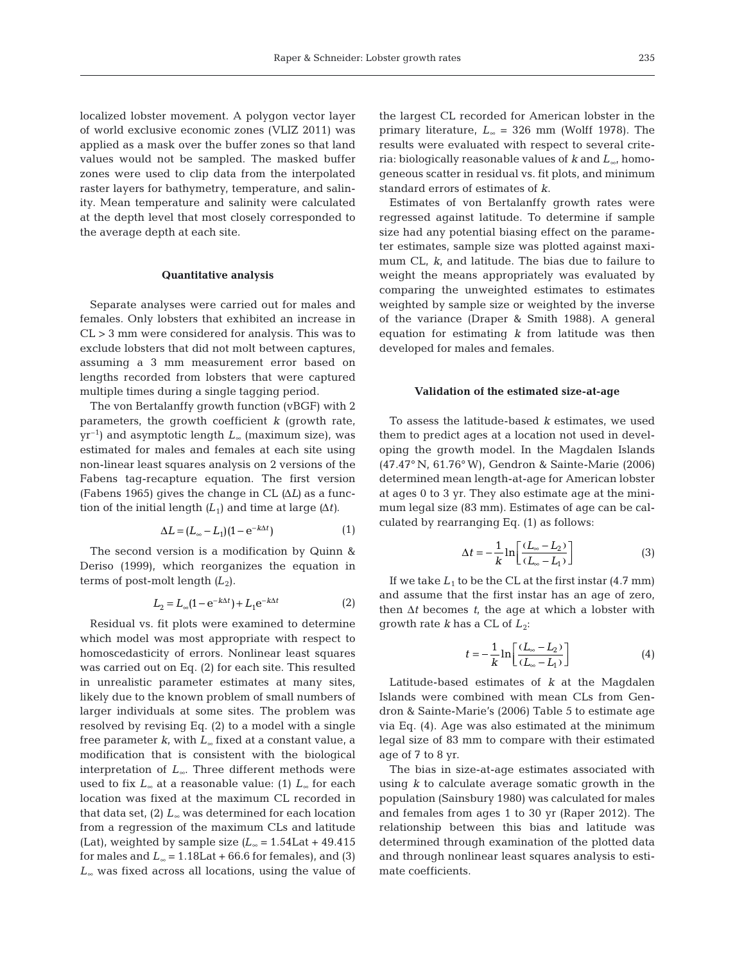localized lobster movement. A polygon vector layer of world exclusive economic zones (VLIZ 2011) was applied as a mask over the buffer zones so that land values would not be sampled. The masked buffer zones were used to clip data from the interpolated raster layers for bathymetry, temperature, and salinity. Mean temperature and salinity were calculated at the depth level that most closely corresponded to

#### **Quantitative analysis**

the average depth at each site.

Separate analyses were carried out for males and females. Only lobsters that exhibited an increase in CL > 3 mm were considered for analysis. This was to exclude lobsters that did not molt between captures, assuming a 3 mm measurement error based on lengths recorded from lobsters that were captured multiple times during a single tagging period.

The von Bertalanffy growth function (vBGF) with 2 parameters, the growth coefficient *k* (growth rate, yr–1) and asymptotic length *L*<sup>∞</sup> (maximum size), was estimated for males and females at each site using non-linear least squares analysis on 2 versions of the Fabens tag-recapture equation. The first version (Fabens 1965) gives the change in CL *(*Δ*L)* as a function of the initial length  $(L_1)$  and time at large  $(\Delta t)$ .

$$
\Delta L = (L_{\infty} - L_1)(1 - e^{-k\Delta t})
$$
\n(1)

The second version is a modification by Quinn & Deriso (1999), which reorganizes the equation in terms of post-molt length  $(L_2)$ .

$$
L_2 = L_{\infty}(1 - e^{-k\Delta t}) + L_1 e^{-k\Delta t}
$$
 (2)

Residual vs. fit plots were examined to determine which model was most appropriate with respect to homoscedasticity of errors. Nonlinear least squares was carried out on Eq. (2) for each site. This resulted in unrealistic parameter estimates at many sites, likely due to the known problem of small numbers of larger individuals at some sites. The problem was resolved by revising Eq. (2) to a model with a single free parameter *k*, with *L*<sup>∞</sup> fixed at a constant value, a modification that is consistent with the biological interpretation of *L*∞. Three different methods were used to fix *L*<sup>∞</sup> at a reasonable value: (1) *L*<sup>∞</sup> for each location was fixed at the maximum CL recorded in that data set, (2) *L*<sup>∞</sup> was determined for each location from a regression of the maximum CLs and latitude (Lat), weighted by sample size  $(L_{\infty} = 1.54$ Lat + 49.415 for males and  $L_{\infty}$  = 1.18Lat + 66.6 for females), and (3) *L*<sup>∞</sup> was fixed across all locations, using the value of

the largest CL recorded for American lobster in the primary literature, *L*<sup>∞</sup> = 326 mm (Wolff 1978). The results were evaluated with respect to several criteria: biologically reasonable values of *k* and *L*∞, homogeneous scatter in residual vs. fit plots, and minimum standard errors of estimates of *k*.

Estimates of von Bertalanffy growth rates were regressed against latitude. To determine if sample size had any potential biasing effect on the parameter estimates, sample size was plotted against maximum CL, *k*, and latitude. The bias due to failure to weight the means appropriately was evaluated by comparing the unweighted estimates to estimates weighted by sample size or weighted by the inverse of the variance (Draper & Smith 1988). A general equation for estimating *k* from latitude was then developed for males and females.

### **Validation of the estimated size-at-age**

To assess the latitude-based *k* estimates, we used them to predict ages at a location not used in developing the growth model. In the Magdalen Islands (47.47° N, 61.76°W), Gendron & Sainte-Marie (2006) determined mean length-at-age for American lobster at ages 0 to 3 yr. They also estimate age at the minimum legal size (83 mm). Estimates of age can be calculated by rearranging Eq. (1) as follows:

$$
\Delta t = -\frac{1}{k} \ln \left[ \frac{(L_{\infty} - L_2)}{(L_{\infty} - L_1)} \right]
$$
 (3)

If we take  $L_1$  to be the CL at the first instar  $(4.7 \text{ mm})$ and assume that the first instar has an age of zero, then Δ*t* becomes *t*, the age at which a lobster with growth rate  $k$  has a CL of  $L_2$ :

$$
t = -\frac{1}{k} \ln \left[ \frac{(L_{\infty} - L_2)}{(L_{\infty} - L_1)} \right]
$$
(4)

Latitude-based estimates of *k* at the Magdalen Islands were combined with mean CLs from Gendron & Sainte-Marie's (2006) Table 5 to estimate age via Eq. (4). Age was also estimated at the minimum legal size of 83 mm to compare with their estimated age of 7 to 8 yr.

The bias in size-at-age estimates associated with using *k* to calculate average somatic growth in the population (Sainsbury 1980) was calculated for males and females from ages 1 to 30 yr (Raper 2012). The relationship between this bias and latitude was determined through examination of the plotted data and through nonlinear least squares analysis to estimate coefficients.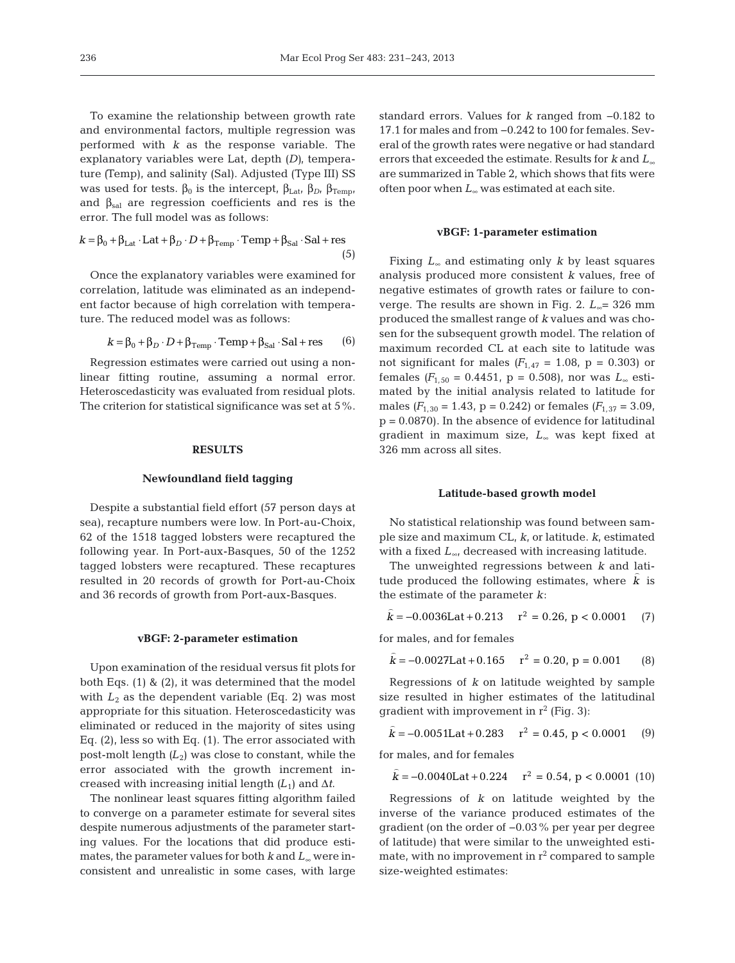To examine the relationship between growth rate and environmental factors, multiple regression was performed with *k* as the response variable. The explanatory variables were Lat, depth *(D)*, temperature *(*Temp), and salinity (Sal). Adjusted (Type III) SS was used for tests.  $β_0$  is the intercept,  $β_{Lat}$ ,  $β_{D}$ ,  $β_{Temp}$ , and  $\beta_{sal}$  are regression coefficients and res is the error. The full model was as follows:

$$
k = \beta_0 + \beta_{\text{Lat}} \cdot \text{Lat} + \beta_D \cdot D + \beta_{\text{Temp}} \cdot \text{Temp} + \beta_{\text{Sal}} \cdot \text{Sal} + \text{res}
$$
\n(5)

Once the explanatory variables were examined for correlation, latitude was eliminated as an independent factor because of high correlation with temperature. The reduced model was as follows:

$$
k = \beta_0 + \beta_D \cdot D + \beta_{\text{Temp}} \cdot \text{Temp} + \beta_{\text{Sal}} \cdot \text{Sal} + \text{res}
$$
 (6)

Regression estimates were carried out using a nonlinear fitting routine, assuming a normal error. Heteroscedasticity was evaluated from residual plots. The criterion for statistical significance was set at 5%.

#### **RESULTS**

## **Newfoundland field tagging**

Despite a substantial field effort (57 person days at sea), recapture numbers were low. In Port-au-Choix, 62 of the 1518 tagged lobsters were recaptured the following year. In Port-aux-Basques, 50 of the 1252 tagged lobsters were recaptured. These recaptures resulted in 20 records of growth for Port-au-Choix and 36 records of growth from Port-aux-Basques.

### **vBGF: 2-parameter estimation**

Upon examination of the residual versus fit plots for both Eqs. (1) & (2), it was determined that the model with  $L_2$  as the dependent variable (Eq. 2) was most appropriate for this situation. Heteroscedasticity was eliminated or reduced in the majority of sites using Eq. (2), less so with Eq. (1). The error associated with post-molt length  $(L_2)$  was close to constant, while the error associated with the growth increment increased with increasing initial length  $(L_1)$  and  $\Delta t$ .

The nonlinear least squares fitting algorithm failed to converge on a parameter estimate for several sites despite numerous adjustments of the parameter starting values. For the locations that did produce estimates, the parameter values for both *k* and *L*<sup>∞</sup> were inconsistent and unrealistic in some cases, with large

standard errors. Values for *k* ranged from −0.182 to 17.1 for males and from −0.242 to 100 for females. Several of the growth rates were negative or had standard errors that exceeded the estimate. Results for *k* and *L*<sup>∞</sup> are summarized in Table 2, which shows that fits were often poor when *L*<sup>∞</sup> was estimated at each site.

#### **vBGF: 1-parameter estimation**

Fixing *L*<sup>∞</sup> and estimating only *k* by least squares analysis produced more consistent *k* values, free of negative estimates of growth rates or failure to converge. The results are shown in Fig. 2. *L*∞= 326 mm produced the smallest range of *k* values and was chosen for the subsequent growth model. The relation of maximum recorded CL at each site to latitude was not significant for males  $(F_{1,47} = 1.08, p = 0.303)$  or females  $(F_{1,50} = 0.4451, p = 0.508)$ , nor was  $L_{\infty}$  estimated by the initial analysis related to latitude for males  $(F_{1,30} = 1.43, p = 0.242)$  or females  $(F_{1,37} = 3.09,$  $p = 0.0870$ . In the absence of evidence for latitudinal gradient in maximum size, *L*<sup>∞</sup> was kept fixed at 326 mm across all sites.

#### **Latitude-based growth model**

No statistical relationship was found between sample size and maximum CL, *k*, or latitude. *k*, estimated with a fixed *L*<sub>∞</sub>, decreased with increasing latitude.

The unweighted regressions between *k* and latitude produced the following estimates, where  $k$  is the estimate of the parameter *k*:

$$
k = -0.0036
$$
Lat + 0.213  $r^2 = 0.26$ , p < 0.0001 (7)

for males, and for females  $\overline{a}$ 

$$
k = -0.0027
$$
Lat + 0.165  $r^2 = 0.20$ , p = 0.001 (8)

Regressions of *k* on latitude weighted by sample size resulted in higher estimates of the latitudinal gradient with improvement in  $r^2$  (Fig. 3):

$$
\hat{k} = -0.0051 \text{Lat} + 0.283 \qquad \mathbf{r}^2 = 0.45, \, \mathbf{p} < 0.0001 \tag{9}
$$

for males, and for females 

$$
k = -0.0040
$$
Lat + 0.224  $r^2 = 0.54$ , p < 0.0001 (10)

Regressions of *k* on latitude weighted by the inverse of the variance produced estimates of the gradient (on the order of −0.03% per year per degree of latitude) that were similar to the unweighted estimate, with no improvement in  $r^2$  compared to sample size-weighted estimates: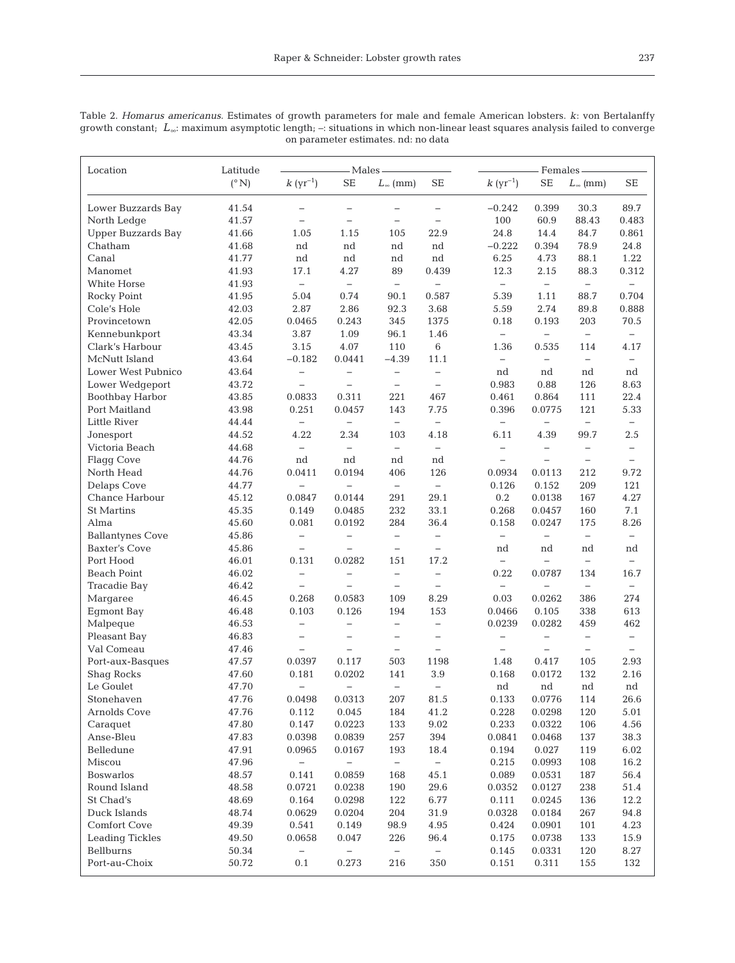| Location                | Latitude      | - Males -                |                          |                          | Females -                |                          |                          |                          |                          |
|-------------------------|---------------|--------------------------|--------------------------|--------------------------|--------------------------|--------------------------|--------------------------|--------------------------|--------------------------|
|                         | $(^{\circ}N)$ | $k\;(\mathrm{yr}^{-1})$  | SE                       | $L_{\infty}$ (mm)        | SE                       | $k\;(\mathrm{yr}^{-1})$  | SE                       | $L_{\infty}$ (mm)        | SE                       |
| Lower Buzzards Bay      | 41.54         |                          | $\qquad \qquad -$        |                          | $\qquad \qquad -$        | $-0.242$                 | 0.399                    | 30.3                     | 89.7                     |
| North Ledge             | 41.57         | $\qquad \qquad -$        | $\overline{\phantom{0}}$ | $\overline{\phantom{0}}$ | $\overline{\phantom{0}}$ | 100                      | 60.9                     | 88.43                    | 0.483                    |
| Upper Buzzards Bay      | 41.66         | 1.05                     | 1.15                     | 105                      | 22.9                     | 24.8                     | 14.4                     | 84.7                     | 0.861                    |
| Chatham                 | 41.68         | nd                       | nd                       | nd                       | nd                       | $-0.222$                 | 0.394                    | 78.9                     | 24.8                     |
| Canal                   | 41.77         | nd                       | nd                       | nd                       | nd                       | 6.25                     | 4.73                     | 88.1                     | 1.22                     |
| Manomet                 | 41.93         | 17.1                     | 4.27                     | 89                       | 0.439                    | 12.3                     | 2.15                     | 88.3                     | 0.312                    |
| White Horse             | 41.93         | $\overline{\phantom{0}}$ | $\qquad \qquad -$        | $\qquad \qquad -$        | $\qquad \qquad -$        | $\overline{\phantom{0}}$ | $\overline{\phantom{0}}$ | $\qquad \qquad -$        |                          |
| Rocky Point             | 41.95         | 5.04                     | 0.74                     | 90.1                     | 0.587                    | 5.39                     | 1.11                     | 88.7                     | 0.704                    |
| Cole's Hole             | 42.03         | 2.87                     | 2.86                     | 92.3                     | 3.68                     | 5.59                     | 2.74                     | 89.8                     | 0.888                    |
| Provincetown            | 42.05         | 0.0465                   | 0.243                    | 345                      | 1375                     | 0.18                     | 0.193                    | 203                      | 70.5                     |
| Kennebunkport           | 43.34         | 3.87                     | 1.09                     | 96.1                     | 1.46                     | $\overline{\phantom{0}}$ | $\qquad \qquad -$        | $\qquad \qquad -$        | $\overline{\phantom{0}}$ |
| Clark's Harbour         | 43.45         | 3.15                     | 4.07                     | 110                      | $\,6\,$                  | 1.36                     | 0.535                    | 114                      | 4.17                     |
| McNutt Island           | 43.64         | $-0.182$                 | 0.0441                   | $-4.39$                  | 11.1                     | $\qquad \qquad -$        | $\overline{\phantom{0}}$ | $\qquad \qquad -$        | $\qquad \qquad -$        |
| Lower West Pubnico      | 43.64         | $\qquad \qquad -$        | $\overline{\phantom{0}}$ | $\qquad \qquad -$        | $\qquad \qquad -$        | nd                       | nd                       | nd                       | nd                       |
| Lower Wedgeport         | 43.72         | $\qquad \qquad -$        |                          | $\qquad \qquad -$        | $\qquad \qquad -$        | 0.983                    | 0.88                     | 126                      | 8.63                     |
| Boothbay Harbor         | 43.85         | 0.0833                   | 0.311                    | 221                      | 467                      | 0.461                    | 0.864                    | 111                      | 22.4                     |
| Port Maitland           | 43.98         | 0.251                    | 0.0457                   | 143                      | 7.75                     | 0.396                    | 0.0775                   | 121                      | 5.33                     |
| Little River            | 44.44         | $\overline{\phantom{0}}$ | $\qquad \qquad -$        | $\overline{\phantom{0}}$ | $\qquad \qquad -$        | $\qquad \qquad -$        | $\qquad \qquad -$        | $\qquad \qquad -$        | $\qquad \qquad -$        |
| Jonesport               | 44.52         | 4.22                     | 2.34                     | 103                      | 4.18                     | 6.11                     | 4.39                     | 99.7                     | $2.5\,$                  |
| Victoria Beach          | 44.68         | $\overline{\phantom{0}}$ | $\overline{\phantom{0}}$ | $\overline{\phantom{0}}$ | $\qquad \qquad -$        | $\overline{\phantom{0}}$ | $\overline{\phantom{0}}$ | $\qquad \qquad -$        | $\qquad \qquad -$        |
| <b>Flagg Cove</b>       | 44.76         | nd                       | nd                       | nd                       | nd                       | $\overline{\phantom{0}}$ | $\overline{\phantom{0}}$ | $\qquad \qquad -$        |                          |
| North Head              | 44.76         | 0.0411                   | 0.0194                   | 406                      | 126                      | 0.0934                   | 0.0113                   | 212                      | 9.72                     |
| Delaps Cove             | 44.77         |                          |                          | $\overline{\phantom{0}}$ | $\overline{\phantom{0}}$ | 0.126                    | 0.152                    | 209                      | 121                      |
| Chance Harbour          | 45.12         | 0.0847                   | 0.0144                   | 291                      | 29.1                     | 0.2                      | 0.0138                   | 167                      | 4.27                     |
| <b>St Martins</b>       | 45.35         | 0.149                    | 0.0485                   | 232                      | 33.1                     | 0.268                    | 0.0457                   | 160                      | 7.1                      |
| Alma                    | 45.60         | 0.081                    | 0.0192                   | 284                      | 36.4                     | 0.158                    | 0.0247                   | 175                      | 8.26                     |
| <b>Ballantynes Cove</b> | 45.86         | $\overline{\phantom{0}}$ | $\qquad \qquad -$        | $\qquad \qquad -$        | $\qquad \qquad -$        | $\qquad \qquad -$        | $\qquad \qquad -$        | $\qquad \qquad -$        | $\overline{\phantom{0}}$ |
| <b>Baxter's Cove</b>    | 45.86         | $\qquad \qquad -$        |                          | $\qquad \qquad -$        | $\qquad \qquad -$        | nd                       | nd                       | nd                       | nd                       |
| Port Hood               | 46.01         | 0.131                    | 0.0282                   | 151                      | 17.2                     | $\overline{\phantom{0}}$ | $\overline{\phantom{0}}$ | $\qquad \qquad -$        | $\overline{\phantom{0}}$ |
| <b>Beach Point</b>      | 46.02         | $\overline{\phantom{0}}$ |                          | $\overline{\phantom{0}}$ | $\qquad \qquad -$        | 0.22                     | 0.0787                   | 134                      | 16.7                     |
| Tracadie Bay            | 46.42         | $\qquad \qquad -$        |                          | $\qquad \qquad -$        | $\qquad \qquad -$        | $\overline{\phantom{0}}$ |                          | $\qquad \qquad -$        |                          |
| Margaree                | 46.45         | 0.268                    | 0.0583                   | 109                      | 8.29                     | 0.03                     | 0.0262                   | 386                      | 274                      |
| Egmont Bay              | 46.48         | 0.103                    | 0.126                    | 194                      | 153                      | 0.0466                   | 0.105                    | 338                      | 613                      |
| Malpeque                | 46.53         | $\qquad \qquad -$        | $\qquad \qquad -$        | $\overline{\phantom{0}}$ | $\overline{\phantom{0}}$ | 0.0239                   | 0.0282                   | 459                      | 462                      |
| Pleasant Bay            | 46.83         | $\qquad \qquad -$        |                          | $\qquad \qquad -$        | $\qquad \qquad -$        | $\qquad \qquad -$        | $\qquad \qquad -$        | $\qquad \qquad -$        | $\overline{\phantom{0}}$ |
| Val Comeau              | 47.46         | $\overline{\phantom{0}}$ | $\qquad \qquad -$        | $\qquad \qquad -$        | $\qquad \qquad -$        | $\qquad \qquad -$        |                          | $\overline{\phantom{0}}$ | $\qquad \qquad -$        |
| Port-aux-Basques        | 47.57         | 0.0397                   | 0.117                    | 503                      | 1198                     | 1.48                     | 0.417                    | 105                      | 2.93                     |
| <b>Shaq Rocks</b>       | 47.60         | 0.181                    | 0.0202                   | 141                      | 3.9                      | 0.168                    | 0.0172                   | 132                      | 2.16                     |
| Le Goulet               | 47.70         | $\overline{\phantom{0}}$ | $\qquad \qquad -$        | $\qquad \qquad -$        | $\qquad \qquad -$        | nd                       | nd                       | nd                       | nd                       |
| Stonehaven              | 47.76         | 0.0498                   | 0.0313                   | 207                      | 81.5                     | 0.133                    | 0.0776                   | 114                      | 26.6                     |
| Arnolds Cove            | 47.76         | 0.112                    | 0.045                    | 184                      | 41.2                     | 0.228                    | 0.0298                   | 120                      | 5.01                     |
| Caraquet                | 47.80         | 0.147                    | 0.0223                   | 133                      | 9.02                     | 0.233                    | 0.0322                   | 106                      | 4.56                     |
| Anse-Bleu               | 47.83         | 0.0398                   | 0.0839                   | 257                      | 394                      | 0.0841                   | 0.0468                   | 137                      | 38.3                     |
| Belledune               | 47.91         | 0.0965                   | 0.0167                   | 193                      | 18.4                     | 0.194                    | 0.027                    | 119                      | 6.02                     |
| Miscou                  | 47.96         | $\overline{\phantom{m}}$ | $\overline{\phantom{0}}$ | $\overline{\phantom{0}}$ | $\overline{\phantom{0}}$ | 0.215                    | 0.0993                   | 108                      | 16.2                     |
| <b>Boswarlos</b>        | 48.57         | 0.141                    | 0.0859                   | 168                      | 45.1                     | 0.089                    | 0.0531                   | 187                      | 56.4                     |
| Round Island            | 48.58         | 0.0721                   | 0.0238                   | 190                      | 29.6                     | 0.0352                   | 0.0127                   | 238                      | 51.4                     |
| St Chad's               | 48.69         | 0.164                    | 0.0298                   | 122                      | 6.77                     | 0.111                    | 0.0245                   | 136                      | 12.2                     |
| Duck Islands            | 48.74         | 0.0629                   | 0.0204                   | 204                      | 31.9                     | 0.0328                   | 0.0184                   | 267                      | 94.8                     |
| Comfort Cove            | 49.39         | 0.541                    | 0.149                    | 98.9                     | 4.95                     | 0.424                    | 0.0901                   | 101                      | 4.23                     |
| <b>Leading Tickles</b>  | 49.50         | 0.0658                   | 0.047                    | 226                      | 96.4                     | 0.175                    | 0.0738                   | 133                      | 15.9                     |

Bellburns 50.34 − − − − 0.145 0.0331 120 8.27 Port-au-Choix 50.72 0.1 0.273 216 350 0.151 0.311 155 132

Table 2. *Homarus americanus*. Estimates of growth parameters for male and female American lobsters. *k*: von Bertalanffy growth constant; *L*∞: maximum asymptotic length; –: situations in which non-linear least squares analysis failed to converge on parameter estimates. nd: no data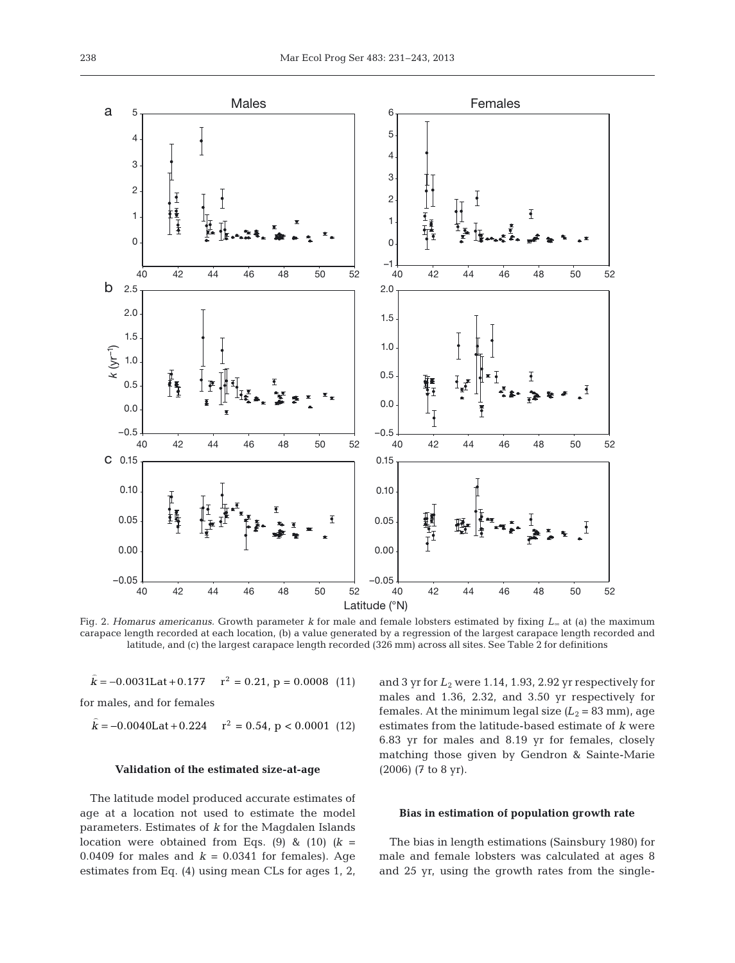

Fig. 2. *Homarus americanus.* Growth parameter *k* for male and female lobsters estimated by fixing *L*<sup>∞</sup> at (a) the maximum carapace length recorded at each location, (b) a value generated by a regression of the largest carapace length recorded and latitude, and (c) the largest carapace length recorded (326 mm) across all sites. See Table 2 for definitions

 $r^2 = 0.21$ ,  $p = 0.0008$  (11)  $k = -0.0031$ Lat + 0.177  $r^2 = 0.21$ , p = 0.0008

for males, and for females  $\overline{a}$ 

 $\overline{a}$ 

 $k = -0.0040$ Lat + 0.224  $r^2 = 0.54$ , p < 0.0001 (12)

#### **Validation of the estimated size-at-age**

The latitude model produced accurate estimates of age at a location not used to estimate the model parameters. Estimates of *k* for the Magdalen Islands location were obtained from Eqs.  $(9)$  &  $(10)$   $(k =$ 0.0409 for males and  $k = 0.0341$  for females). Age estimates from Eq. (4) using mean CLs for ages 1, 2, and 3 yr for  $L_2$  were 1.14, 1.93, 2.92 yr respectively for males and 1.36, 2.32, and 3.50 yr respectively for females. At the minimum legal size  $(L_2 = 83$  mm), age estimates from the latitude-based estimate of *k* were 6.83 yr for males and 8.19 yr for females, closely matching those given by Gendron & Sainte-Marie (2006) (7 to 8 yr).

#### **Bias in estimation of population growth rate**

The bias in length estimations (Sainsbury 1980) for male and female lobsters was calculated at ages 8 and 25 yr, using the growth rates from the single-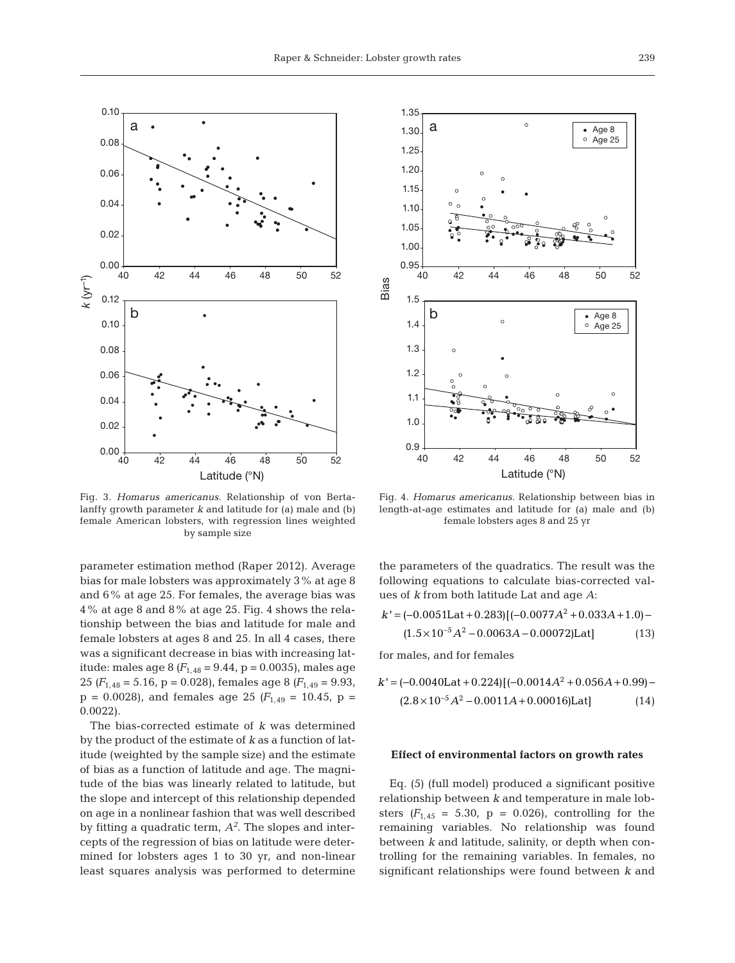

Fig. 3. *Homarus americanus.* Relationship of von Bertalanffy growth parameter *k* and latitude for (a) male and (b) female American lobsters, with regression lines weighted by sample size

parameter estimation method (Raper 2012). Average bias for male lobsters was approximately 3% at age 8 and 6% at age 25. For females, the average bias was 4% at age 8 and 8% at age 25. Fig. 4 shows the relationship between the bias and latitude for male and female lobsters at ages 8 and 25. In all 4 cases, there was a significant decrease in bias with increasing latitude: males age 8  $(F_{1,48} = 9.44, p = 0.0035)$ , males age 25  $(F_{1,48} = 5.16, p = 0.028)$ , females age 8  $(F_{1,49} = 9.93, p)$  $p = 0.0028$ , and females age 25 ( $F_{1,49} = 10.45$ ,  $p =$ 0.0022).

The bias-corrected estimate of *k* was determined by the product of the estimate of *k* as a function of latitude (weighted by the sample size) and the estimate of bias as a function of latitude and age. The magnitude of the bias was linearly related to latitude, but the slope and intercept of this relationship depended on age in a nonlinear fashion that was well described by fitting a quadratic term,  $A<sup>2</sup>$ . The slopes and intercepts of the regression of bias on latitude were determined for lobsters ages 1 to 30 yr, and non-linear least squares analysis was performed to determine



Fig. 4. *Homarus americanus.* Relationship between bias in length-at-age estimates and latitude for (a) male and (b) female lobsters ages 8 and 25 yr

the parameters of the quadratics. The result was the following equations to calculate bias-corrected values of *k* from both latitude Lat and age *A*:

$$
k' = (-0.0051\text{Lat} + 0.283)[(-0.0077\text{A}^2 + 0.033\text{A} + 1.0) - (1.5 \times 10^{-5}\text{A}^2 - 0.0063\text{A} - 0.00072)\text{Lat}]
$$
\n(13)

for males, and for females

$$
k' = (-0.0040 \text{Lat} + 0.224) [(-0.0014 A^2 + 0.056 A + 0.99) - (2.8 \times 10^{-5} A^2 - 0.0011 A + 0.00016) \text{Lat}] \tag{14}
$$

# **Effect of environmental factors on growth rates**

Eq. (5) (full model) produced a significant positive relationship between *k* and temperature in male lobsters  $(F_{1,45} = 5.30, p = 0.026)$ , controlling for the remaining variables. No relationship was found between *k* and latitude, salinity, or depth when controlling for the remaining variables. In females, no significant relationships were found between  $k$  and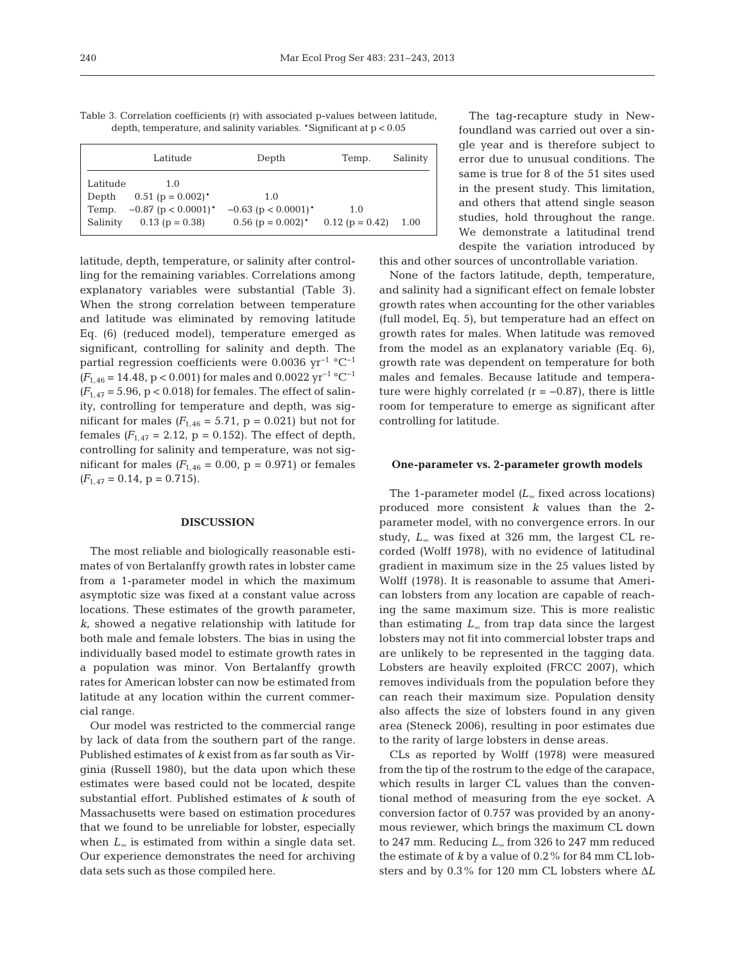Table 3. Correlation coefficients (r) with associated p-values between latitude, depth, temperature, and salinity variables. \*Significant at p < 0.05

|          | Latitude                           | Depth                              | Temp.             | Salinity |
|----------|------------------------------------|------------------------------------|-------------------|----------|
| Latitude | 1.0                                |                                    |                   |          |
| Depth    | $0.51$ (p = $0.002$ ) <sup>*</sup> | 1.0                                |                   |          |
| Temp.    | $-0.87$ (p < 0.0001) <sup>*</sup>  | $-0.63$ (p < 0.0001) <sup>*</sup>  | 1.0               |          |
| Salinity | $0.13$ (p = 0.38)                  | $0.56$ (p = $0.002$ ) <sup>*</sup> | $0.12$ (p = 0.42) | 1.00     |

latitude, depth, temperature, or salinity after controlling for the remaining variables. Correlations among explanatory variables were substantial (Table 3). When the strong correlation between temperature and latitude was eliminated by removing latitude Eq. (6) (reduced model), temperature emerged as significant, controlling for salinity and depth. The partial regression coefficients were 0.0036 yr−1 °C−1  $(F_{1,46} = 14.48, p < 0.001)$  for males and 0.0022 yr<sup>-1</sup> °C<sup>-1</sup>  $(F_{1,47} = 5.96, p < 0.018)$  for females. The effect of salinity, controlling for temperature and depth, was significant for males  $(F_{1,46} = 5.71, p = 0.021)$  but not for females  $(F_{1,47} = 2.12, p = 0.152)$ . The effect of depth, controlling for salinity and temperature, was not significant for males  $(F_{1,46} = 0.00, p = 0.971)$  or females  $(F_{1.47} = 0.14, p = 0.715).$ 

## **DISCUSSION**

The most reliable and biologically reasonable estimates of von Bertalanffy growth rates in lobster came from a 1-parameter model in which the maximum asymptotic size was fixed at a constant value across locations. These estimates of the growth parameter, *k*, showed a negative relationship with latitude for both male and female lobsters. The bias in using the individually based model to estimate growth rates in a population was minor. Von Bertalanffy growth rates for American lobster can now be estimated from latitude at any location within the current commercial range.

Our model was restricted to the commercial range by lack of data from the southern part of the range. Published estimates of *k* exist from as far south as Virginia (Russell 1980), but the data upon which these estimates were based could not be located, despite substantial effort. Published estimates of *k* south of Massa chusetts were based on estimation procedures that we found to be unreliable for lobster, especially when  $L_{\infty}$  is estimated from within a single data set. Our experience demonstrates the need for archiving data sets such as those compiled here.

The tag-recapture study in Newfoundland was carried out over a single year and is therefore subject to error due to unusual conditions. The same is true for 8 of the 51 sites used in the present study. This limitation, and others that attend single season studies, hold throughout the range. We demonstrate a latitudinal trend despite the variation introduced by

this and other sources of uncontrollable variation.

None of the factors latitude, depth, temperature, and salinity had a significant effect on female lobster growth rates when accounting for the other variables (full model, Eq. 5), but temperature had an effect on growth rates for males. When latitude was removed from the model as an explanatory variable (Eq. 6), growth rate was dependent on temperature for both males and females. Because latitude and temperature were highly correlated  $(r = -0.87)$ , there is little room for temperature to emerge as significant after controlling for latitude.

#### **One-parameter vs. 2-parameter growth models**

The 1-parameter model *(L*<sup>∞</sup> fixed across locations) produced more consistent *k* values than the 2 parameter model, with no convergence errors. In our study, *L*<sub>∞</sub> was fixed at 326 mm, the largest CL recorded (Wolff 1978), with no evidence of latitudinal gradient in maximum size in the 25 values listed by Wolff (1978). It is reasonable to assume that American lobsters from any location are capable of reaching the same maximum size. This is more realistic than estimating *L*<sup>∞</sup> from trap data since the largest lobsters may not fit into commercial lobster traps and are unlikely to be represented in the tagging data. Lobsters are heavily exploited (FRCC 2007), which removes individuals from the population before they can reach their maximum size. Population density also affects the size of lobsters found in any given area (Steneck 2006), resulting in poor estimates due to the rarity of large lobsters in dense areas.

CLs as reported by Wolff (1978) were measured from the tip of the rostrum to the edge of the carapace, which results in larger CL values than the conventional method of measuring from the eye socket. A conversion factor of 0.757 was provided by an anonymous reviewer, which brings the maximum CL down to 247 mm. Reducing *L*<sup>∞</sup> from 326 to 247 mm reduced the estimate of *k* by a value of 0.2% for 84 mm CL lobsters and by 0.3% for 120 mm CL lobsters where Δ*L*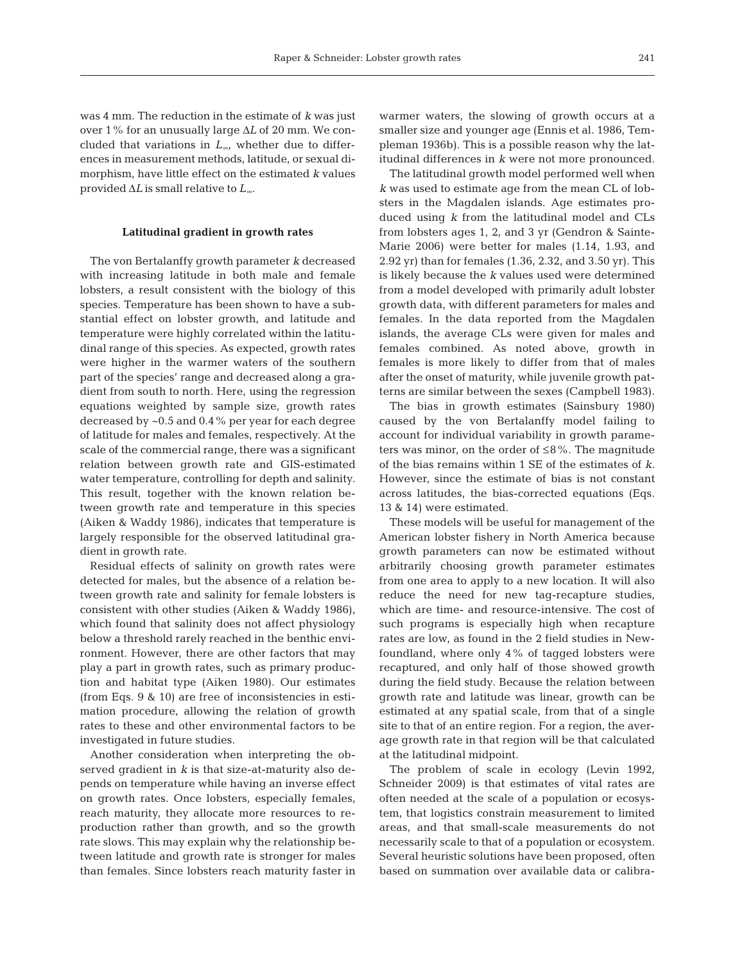was 4 mm. The reduction in the estimate of *k* was just over 1% for an unusually large Δ*L* of 20 mm. We concluded that variations in *L*∞, whether due to differences in measurement methods, latitude, or sexual dimorphism, have little effect on the estimated *k* values provided Δ*L* is small relative to *L*∞.

# **Latitudinal gradient in growth rates**

The von Bertalanffy growth parameter *k* decreased with increasing latitude in both male and female lobsters, a result consistent with the biology of this species. Temperature has been shown to have a substantial effect on lobster growth, and latitude and temperature were highly correlated within the latitudinal range of this species. As expected, growth rates were higher in the warmer waters of the southern part of the species' range and decreased along a gradient from south to north. Here, using the regression equations weighted by sample size, growth rates decreased by ~0.5 and 0.4% per year for each degree of latitude for males and females, respectively. At the scale of the commercial range, there was a significant relation between growth rate and GIS-estimated water temperature, controlling for depth and salinity. This result, together with the known relation be tween growth rate and temperature in this species (Aiken & Waddy 1986), indicates that temperature is largely responsible for the observed latitudinal gradient in growth rate.

Residual effects of salinity on growth rates were detected for males, but the absence of a relation be tween growth rate and salinity for female lobsters is consistent with other studies (Aiken & Waddy 1986), which found that salinity does not affect physiology below a threshold rarely reached in the benthic environment. However, there are other factors that may play a part in growth rates, such as primary production and habitat type (Aiken 1980). Our estimates (from Eqs. 9 & 10) are free of inconsistencies in estimation procedure, allowing the relation of growth rates to these and other environmental factors to be investigated in future studies.

Another consideration when interpreting the ob served gradient in *k* is that size-at-maturity also de pends on temperature while having an inverse effect on growth rates. Once lobsters, especially females, reach maturity, they allocate more resources to reproduction rather than growth, and so the growth rate slows. This may explain why the relationship be tween latitude and growth rate is stronger for males than females. Since lobsters reach maturity faster in

warmer waters, the slowing of growth occurs at a smaller size and younger age (Ennis et al. 1986, Templeman 1936b). This is a possible reason why the latitudinal differences in *k* were not more pronounced.

The latitudinal growth model performed well when *k* was used to estimate age from the mean CL of lobsters in the Magdalen islands. Age estimates produced using *k* from the latitudinal model and CLs from lobsters ages 1, 2, and 3 yr (Gendron & Sainte-Marie 2006) were better for males (1.14, 1.93, and 2.92 yr) than for females (1.36, 2.32, and 3.50 yr). This is likely because the *k* values used were determined from a model developed with primarily adult lobster growth data, with different parameters for males and females. In the data reported from the Magdalen islands, the average CLs were given for males and females combined. As noted above, growth in females is more likely to differ from that of males after the onset of maturity, while juvenile growth patterns are similar between the sexes (Campbell 1983).

The bias in growth estimates (Sainsbury 1980) caused by the von Bertalanffy model failing to account for individual variability in growth parameters was minor, on the order of  $\leq 8\%$ . The magnitude of the bias remains within 1 SE of the estimates of *k*. However, since the estimate of bias is not constant across latitudes, the bias-corrected equations (Eqs. 13 & 14) were estimated.

These models will be useful for management of the American lobster fishery in North America because growth parameters can now be estimated without arbitrarily choosing growth parameter estimates from one area to apply to a new location. It will also reduce the need for new tag-recapture studies, which are time- and resource-intensive. The cost of such programs is especially high when recapture rates are low, as found in the 2 field studies in Newfoundland, where only 4% of tagged lobsters were recaptured, and only half of those showed growth during the field study. Because the relation between growth rate and latitude was linear, growth can be estimated at any spatial scale, from that of a single site to that of an entire region. For a region, the average growth rate in that region will be that calculated at the latitudinal midpoint.

The problem of scale in ecology (Levin 1992, Schneider 2009) is that estimates of vital rates are often needed at the scale of a population or ecosystem, that logistics constrain measurement to limited areas, and that small-scale measurements do not necessarily scale to that of a population or ecosystem. Several heuristic solutions have been proposed, often based on summation over available data or calibra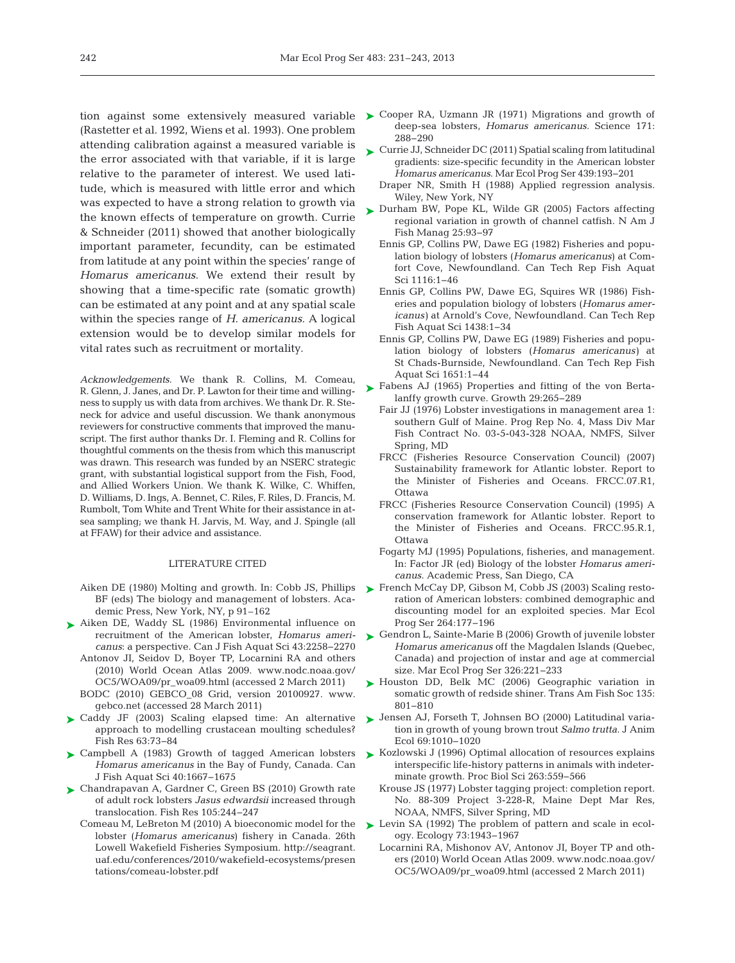(Rastetter et al. 1992, Wiens et al. 1993). One problem attending calibration against a measured variable is the error associated with that variable, if it is large relative to the parameter of interest. We used latitude, which is measured with little error and which was expected to have a strong relation to growth via the known effects of temperature on growth. Currie & Schneider (2011) showed that another biologically important parameter, fecundity, can be estimated from latitude at any point within the species' range of *Homarus americanus*. We extend their result by showing that a time-specific rate (somatic growth) can be estimated at any point and at any spatial scale within the species range of *H. americanus*. A logical extension would be to develop similar models for vital rates such as recruitment or mortality.

*Acknowledgements.* We thank R. Collins, M. Comeau, R. Glenn, J. Janes, and Dr. P. Lawton for their time and willingness to supply us with data from archives. We thank Dr. R. Steneck for advice and useful discussion. We thank anonymous reviewers for constructive comments that improved the manuscript. The first author thanks Dr. I. Fleming and R. Collins for thoughtful comments on the thesis from which this manuscript was drawn. This research was funded by an NSERC strategic grant, with substantial logistical support from the Fish, Food, and Allied Workers Union. We thank K. Wilke, C. Whiffen, D. Williams, D. Ings, A. Bennet, C. Riles, F. Riles, D. Francis, M. Rumbolt, Tom White and Trent White for their assistance in atsea sampling; we thank H. Jarvis, M. Way, and J. Spingle (all at FFAW) for their advice and assistance.

## LITERATURE CITED

- Aiken DE (1980) Molting and growth. In:Cobb JS, Phillips BF (eds) The biology and management of lobsters. Academic Press, New York, NY, p 91–162
- ▶ [Aiken DE, Waddy SL \(1986\) Environmental influence on](http://dx.doi.org/10.1139/f86-277) recruitment of the American lobster, *Homarus americanus*:a perspective. Can J Fish Aquat Sci 43: 2258−2270
	- Antonov JI, Seidov D, Boyer TP, Locarnini RA and others (2010) World Ocean Atlas 2009. www.nodc. noaa. gov/ OC5/ WOA09/pr\_woa09.html (accessed 2 March 2011)
	- BODC (2010) GEBCO\_08 Grid, version 20100927. www. gebco. net (accessed 28 March 2011)
- ► Caddy JF (2003) Scaling elapsed time: An alternative approach to modelling crustacean moulting schedules? Fish Res 63:73-84
- ▶ [Campbell A \(1983\) Growth of tagged American lobsters](http://dx.doi.org/10.1139/f83-193) *Homarus americanus* in the Bay of Fundy, Canada. Can J Fish Aquat Sci 40: 1667−1675
- ► [Chandrapavan A, Gardner C, Green BS \(2010\) Growth rate](http://dx.doi.org/10.1016/j.fishres.2010.03.014) of adult rock lobsters *Jasus edwardsii* increased through translocation. Fish Res 105: 244−247
	- Comeau M, LeBreton M (2010) A bioeconomic model for the lobster (*Homarus americanus*) fishery in Canada. 26th Lowell Wakefield Fisheries Symposium. http://seagrant. uaf. edu/ conferences/ 2010/ wakefield- ecosystems/ presen tations/comeau-lobster.pdf
- tion against some extensively measured variable > [Cooper RA, Uzmann JR \(1971\) Migrations and growth of](http://dx.doi.org/10.1126/science.171.3968.288) deep-sea lobsters, *Homarus americanus.* Science 171: 288−290
	- ► [Currie JJ, Schneider DC \(2011\) Spatial scaling from latitudinal](http://dx.doi.org/10.3354/meps09322) gradients: size-specific fecundity in the American lobster *Homarus americanus*. Mar Ecol Prog Ser 439: 193−201
		- Draper NR, Smith H (1988) Applied regression analysis. Wiley, New York, NY
	- ► [Durham BW, Pope KL, Wilde GR \(2005\) Factors affecting](http://dx.doi.org/10.1577/M03-129.1) regional variation in growth of channel catfish. N Am J Fish Manag 25:93-97
		- Ennis GP, Collins PW, Dawe EG (1982) Fisheries and population biology of lobsters (*Homarus americanus*) at Comfort Cove, Newfoundland. Can Tech Rep Fish Aquat Sci 1116: 1−46
		- Ennis GP, Collins PW, Dawe EG, Squires WR (1986) Fisheries and population biology of lobsters (*Homarus americanus)* at Arnold's Cove, Newfoundland. Can Tech Rep Fish Aquat Sci 1438: 1−34
		- Ennis GP, Collins PW, Dawe EG (1989) Fisheries and population biology of lobsters (*Homarus americanus)* at St Chads-Burnside, Newfoundland. Can Tech Rep Fish Aquat Sci 1651: 1−44
	- ▶ [Fabens AJ \(1965\) Properties and fitting of the von Berta](http://www.ncbi.nlm.nih.gov/entrez/query.fcgi?cmd=Retrieve&db=PubMed&list_uids=5865688&dopt=Abstract)lanffy growth curve. Growth 29:265-289
		- Fair JJ (1976) Lobster investigations in management area 1: southern Gulf of Maine. Prog Rep No. 4, Mass Div Mar Fish Contract No. 03-5-043-328 NOAA, NMFS, Silver Spring, MD
		- FRCC (Fisheries Resource Conservation Council) (2007) Sustainability framework for Atlantic lobster. Report to the Minister of Fisheries and Oceans. FRCC.07.R1, Ottawa
		- FRCC (Fisheries Resource Conservation Council) (1995) A conservation framework for Atlantic lobster. Report to the Minister of Fisheries and Oceans. FRCC.95.R.1, Ottawa
		- Fogarty MJ (1995) Populations, fisheries, and management. In:Factor JR (ed) Biology of the lobster *Homarus americanus*. Academic Press, San Diego, CA
	- ► [French McCay DP, Gibson M, Cobb JS \(2003\) Scaling resto](http://dx.doi.org/10.3354/meps264177)ration of American lobsters: combined demographic and discounting model for an exploited species. Mar Ecol Prog Ser 264: 177−196
	- ► [Gendron L, Sainte-Marie B \(2006\) Growth of juvenile lobster](http://dx.doi.org/10.3354/meps326221) *Homarus americanus* off the Magdalen Islands (Quebec, Canada) and projection of instar and age at commercial size. Mar Ecol Prog Ser 326:221-233
	- ▶ [Houston DD, Belk MC \(2006\) Geographic variation in](http://dx.doi.org/10.1577/T05-082.1) somatic growth of redside shiner. Trans Am Fish Soc 135: 801−810
	- ▶ [Jensen AJ, Forseth T, Johnsen BO \(2000\) Latitudinal varia](http://dx.doi.org/10.1046/j.1365-2656.2000.00457.x)tion in growth of young brown trout *Salmo trutta*. J Anim Ecol 69: 1010−1020
	- ► [Kozlowski J \(1996\) Optimal allocation of resources explains](http://dx.doi.org/10.1098/rspb.1996.0084) interspecific life-history patterns in animals with indeterminate growth. Proc Biol Sci 263: 559−566
		- Krouse JS (1977) Lobster tagging project: completion report. No. 88-309 Project 3-228-R, Maine Dept Mar Res, NOAA, NMFS, Silver Spring, MD
	- ► [Levin SA \(1992\) The problem of pattern and scale in ecol](http://dx.doi.org/10.2307/1941447)ogy. Ecology 73: 1943−1967
		- Locarnini RA, Mishonov AV, Antonov JI, Boyer TP and others (2010) World Ocean Atlas 2009. www. nodc. noaa.gov/ OC5/WOA09/pr\_woa09.html (accessed 2 March 2011)